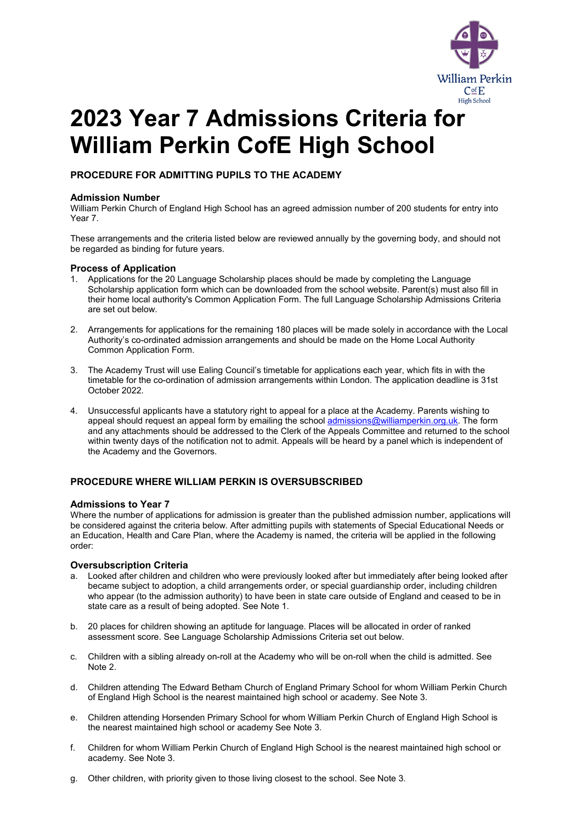

# **2023 Year 7 Admissions Criteria for William Perkin CofE High School**

**PROCEDURE FOR ADMITTING PUPILS TO THE ACADEMY**

# **Admission Number**

William Perkin Church of England High School has an agreed admission number of 200 students for entry into Year 7.

These arrangements and the criteria listed below are reviewed annually by the governing body, and should not be regarded as binding for future years.

## **Process of Application**

- 1. Applications for the 20 Language Scholarship places should be made by completing the Language Scholarship application form which can be downloaded from the school website. Parent(s) must also fill in their home local authority's Common Application Form. The full Language Scholarship Admissions Criteria are set out below.
- 2. Arrangements for applications for the remaining 180 places will be made solely in accordance with the Local Authority's co-ordinated admission arrangements and should be made on the Home Local Authority Common Application Form.
- 3. The Academy Trust will use Ealing Council's timetable for applications each year, which fits in with the timetable for the co-ordination of admission arrangements within London. The application deadline is 31st October 2022.
- 4. Unsuccessful applicants have a statutory right to appeal for a place at the Academy. Parents wishing to appeal should request an appeal form by emailing the school [admissions@williamperkin.org.uk.](mailto:admissions@williamperkin.org.uk) The form and any attachments should be addressed to the Clerk of the Appeals Committee and returned to the school within twenty days of the notification not to admit. Appeals will be heard by a panel which is independent of the Academy and the Governors.

# **PROCEDURE WHERE WILLIAM PERKIN IS OVERSUBSCRIBED**

## **Admissions to Year 7**

Where the number of applications for admission is greater than the published admission number, applications will be considered against the criteria below. After admitting pupils with statements of Special Educational Needs or an Education, Health and Care Plan, where the Academy is named, the criteria will be applied in the following order:

## **Oversubscription Criteria**

- a. Looked after children and children who were previously looked after but immediately after being looked after became subject to adoption, a child arrangements order, or special guardianship order, including children who appear (to the admission authority) to have been in state care outside of England and ceased to be in state care as a result of being adopted. See Note 1.
- b. 20 places for children showing an aptitude for language. Places will be allocated in order of ranked assessment score. See Language Scholarship Admissions Criteria set out below.
- c. Children with a sibling already on-roll at the Academy who will be on-roll when the child is admitted. See Note 2.
- d. Children attending The Edward Betham Church of England Primary School for whom William Perkin Church of England High School is the nearest maintained high school or academy. See Note 3.
- e. Children attending Horsenden Primary School for whom William Perkin Church of England High School is the nearest maintained high school or academy See Note 3.
- f. Children for whom William Perkin Church of England High School is the nearest maintained high school or academy. See Note 3.
- g. Other children, with priority given to those living closest to the school. See Note 3.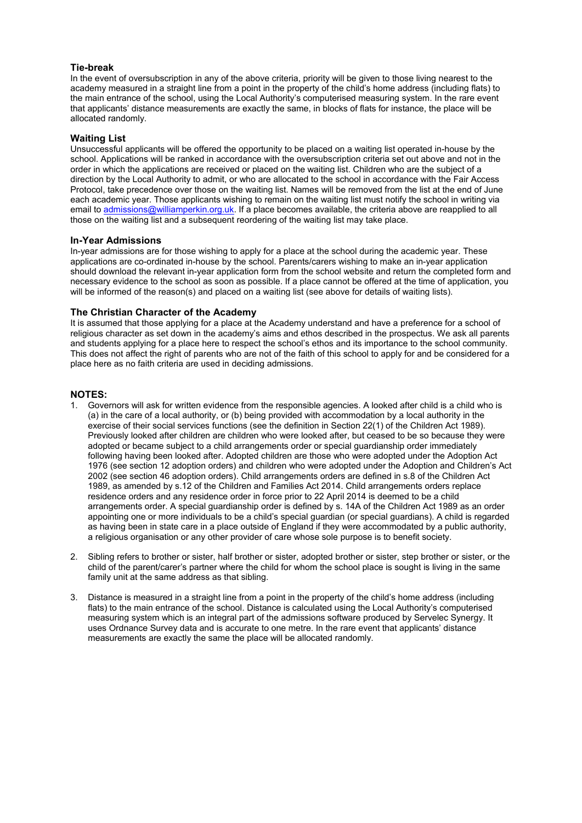# **Tie-break**

In the event of oversubscription in any of the above criteria, priority will be given to those living nearest to the academy measured in a straight line from a point in the property of the child's home address (including flats) to the main entrance of the school, using the Local Authority's computerised measuring system. In the rare event that applicants' distance measurements are exactly the same, in blocks of flats for instance, the place will be allocated randomly.

## **Waiting List**

Unsuccessful applicants will be offered the opportunity to be placed on a waiting list operated in-house by the school. Applications will be ranked in accordance with the oversubscription criteria set out above and not in the order in which the applications are received or placed on the waiting list. Children who are the subject of a direction by the Local Authority to admit, or who are allocated to the school in accordance with the Fair Access Protocol, take precedence over those on the waiting list. Names will be removed from the list at the end of June each academic year. Those applicants wishing to remain on the waiting list must notify the school in writing via email to [admissions@williamperkin.org.uk.](mailto:admissions@williamperkin.org.uk) If a place becomes available, the criteria above are reapplied to all those on the waiting list and a subsequent reordering of the waiting list may take place.

## **In-Year Admissions**

In-year admissions are for those wishing to apply for a place at the school during the academic year. These applications are co-ordinated in-house by the school. Parents/carers wishing to make an in-year application should download the relevant in-year application form from the school website and return the completed form and necessary evidence to the school as soon as possible. If a place cannot be offered at the time of application, you will be informed of the reason(s) and placed on a waiting list (see above for details of waiting lists).

## **The Christian Character of the Academy**

It is assumed that those applying for a place at the Academy understand and have a preference for a school of religious character as set down in the academy's aims and ethos described in the prospectus. We ask all parents and students applying for a place here to respect the school's ethos and its importance to the school community. This does not affect the right of parents who are not of the faith of this school to apply for and be considered for a place here as no faith criteria are used in deciding admissions.

## **NOTES:**

- 1. Governors will ask for written evidence from the responsible agencies. A looked after child is a child who is (a) in the care of a local authority, or (b) being provided with accommodation by a local authority in the exercise of their social services functions (see the definition in Section 22(1) of the Children Act 1989). Previously looked after children are children who were looked after, but ceased to be so because they were adopted or became subject to a child arrangements order or special guardianship order immediately following having been looked after. Adopted children are those who were adopted under the Adoption Act 1976 (see section 12 adoption orders) and children who were adopted under the Adoption and Children's Act 2002 (see section 46 adoption orders). Child arrangements orders are defined in s.8 of the Children Act 1989, as amended by s.12 of the Children and Families Act 2014. Child arrangements orders replace residence orders and any residence order in force prior to 22 April 2014 is deemed to be a child arrangements order. A special guardianship order is defined by s. 14A of the Children Act 1989 as an order appointing one or more individuals to be a child's special guardian (or special guardians). A child is regarded as having been in state care in a place outside of England if they were accommodated by a public authority, a religious organisation or any other provider of care whose sole purpose is to benefit society.
- 2. Sibling refers to brother or sister, half brother or sister, adopted brother or sister, step brother or sister, or the child of the parent/carer's partner where the child for whom the school place is sought is living in the same family unit at the same address as that sibling.
- 3. Distance is measured in a straight line from a point in the property of the child's home address (including flats) to the main entrance of the school. Distance is calculated using the Local Authority's computerised measuring system which is an integral part of the admissions software produced by Servelec Synergy. It uses Ordnance Survey data and is accurate to one metre. In the rare event that applicants' distance measurements are exactly the same the place will be allocated randomly.